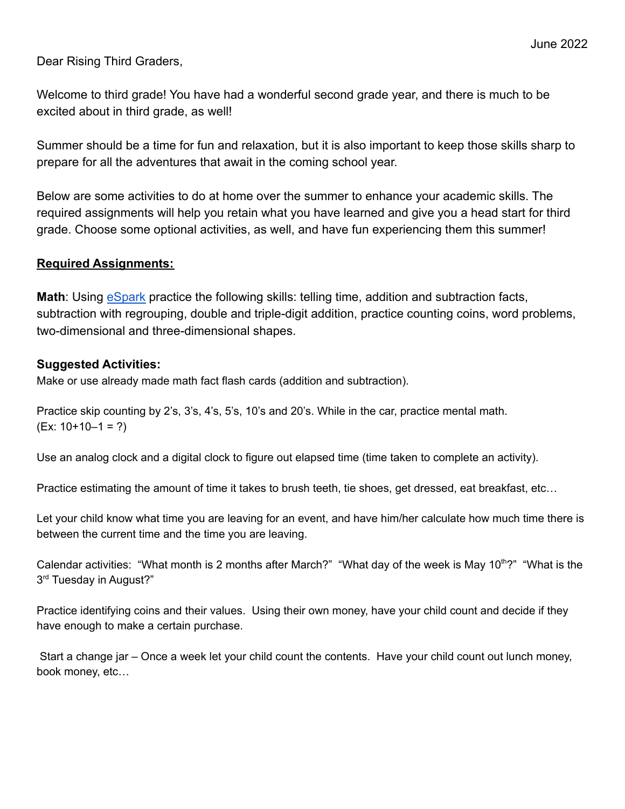Dear Rising Third Graders,

Welcome to third grade! You have had a wonderful second grade year, and there is much to be excited about in third grade, as well!

Summer should be a time for fun and relaxation, but it is also important to keep those skills sharp to prepare for all the adventures that await in the coming school year.

Below are some activities to do at home over the summer to enhance your academic skills. The required assignments will help you retain what you have learned and give you a head start for third grade. Choose some optional activities, as well, and have fun experiencing them this summer!

## **Required Assignments:**

**Math:** Using **[eSpark](https://student.esparklearning.com/student/login)** practice the following skills: telling time, addition and subtraction facts, subtraction with regrouping, double and triple-digit addition, practice counting coins, word problems, two-dimensional and three-dimensional shapes.

## **Suggested Activities:**

Make or use already made math fact flash cards (addition and subtraction).

Practice skip counting by 2's, 3's, 4's, 5's, 10's and 20's. While in the car, practice mental math.  $(Ex: 10+10-1 = ?)$ 

Use an analog clock and a digital clock to figure out elapsed time (time taken to complete an activity).

Practice estimating the amount of time it takes to brush teeth, tie shoes, get dressed, eat breakfast, etc…

Let your child know what time you are leaving for an event, and have him/her calculate how much time there is between the current time and the time you are leaving.

Calendar activities: "What month is 2 months after March?" "What day of the week is May 10<sup>th</sup>?" "What is the 3<sup>rd</sup> Tuesday in August?"

Practice identifying coins and their values. Using their own money, have your child count and decide if they have enough to make a certain purchase.

Start a change jar – Once a week let your child count the contents. Have your child count out lunch money, book money, etc…